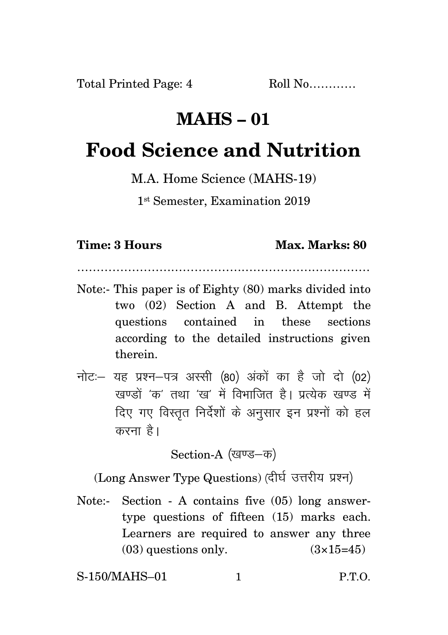## **MAHS – 01**

## **Food Science and Nutrition**

M.A. Home Science (MAHS-19)

1 st Semester, Examination 2019

## **Time: 3 Hours Max. Marks: 80**

Note:- This paper is of Eighty (80) marks divided into two (02) Section A and B. Attempt the questions contained in these sections according to the detailed instructions given therein.

…………………………………………………………………

नोट: यह प्रश्न-पत्र अस्सी (80) अंकों का है जो दो (02) रवण्डों 'क' तथा 'रव' में विभाजित है। प्रत्येक रवण्ड में दिए गए विस्तृत निर्देशों के अनुसार इन प्रश्नों को हल करना है।

Section-A (खण्ड-क)

(Long Answer Type Questions) (दीर्घ उत्तरीय प्रश्न)

Note:- Section - A contains five (05) long answertype questions of fifteen (15) marks each. Learners are required to answer any three  $(03)$  questions only.  $(3\times15=45)$ 

S-150/MAHS–01 1 P.T.O.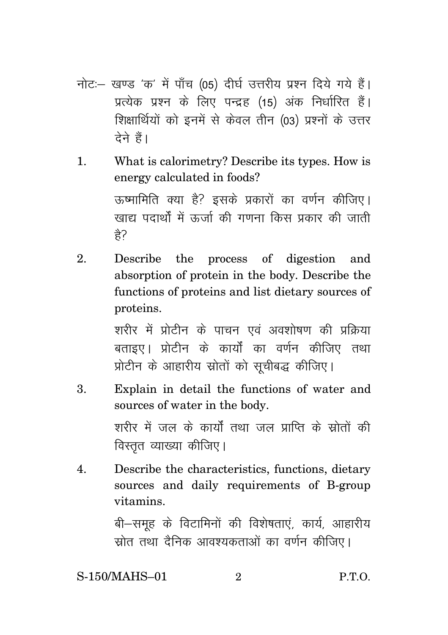- नोट:- खण्ड 'क' में पाँच (05) दीर्घ उत्तरीय प्रश्न दिये गये हैं। प्रत्येक प्रश्न के लिए पन्द्रह (15) अंक निर्धारित हैं। शिक्षार्थियों को इनमें से केवल तीन (03) प्रश्नों के उत्तर टेने हैं।
- What is calorimetry? Describe its types. How is  $\mathbf{1}$ . energy calculated in foods? ऊष्मामिति क्या है? इसके प्रकारों का वर्णन कीजिए। खाद्य पदार्थों में ऊर्ज़ा की गणना किस प्रकार की जाती  $\frac{4}{5}$
- $\overline{2}$ . Describe the process of digestion and absorption of protein in the body. Describe the functions of proteins and list dietary sources of proteins.

शरीर में प्रोटीन के पाचन एवं अवशोषण की प्रक्रिया बताइए। प्रोटीन के कार्यों का वर्णन कीजिए तथा प्रोटीन के आहारीय स्रोतों को सुचीबद्ध कीजिए।

- Explain in detail the functions of water and 3. sources of water in the body. शरीर में जल के कार्यों तथा जल प्राप्ति के स्रोतों की विस्तृत व्याख्या कीजिए।
- Describe the characteristics, functions, dietary  $\mathbf 4$ sources and daily requirements of B-group vitamins.

बी-समुह के विटामिनों की विशेषताएं, कार्य, आहारीय स्रोत तथा दैनिक आवश्यकताओं का वर्णन कीजिए।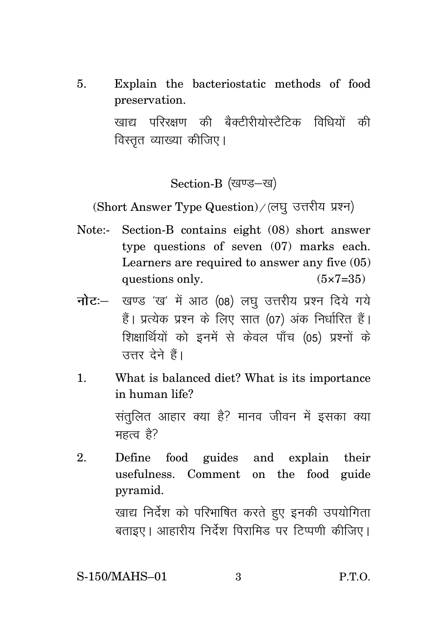5. Explain the bacteriostatic methods of food preservation.

> खाद्य परिरक्षण की बैक्टीरीयोस्टैटिक विधियों की विस्तत व्याख्या कीजिए।

> > Section-B (खण्ड-ख)

(Short Answer Type Question) / (लघु उत्तरीय प्रश्न)

- Note:- Section-B contains eight (08) short answer type questions of seven (07) marks each. Learners are required to answer any five (05) questions only.  $(5 \times 7 = 35)$
- **नोट**: खण्ड 'ख' में आठ (08) लघु उत्तरीय प्रश्न दिये गये हैं। प्रत्येक प्रश्न के लिए सात (07) अंक निर्धारित हैं। शिक्षार्थियों को इनमें से केवल पाँच (05) प्रश्नों के उत्तर देने हैं।
- 1. What is balanced diet? What is its importance in human life?

संतुलित आहार क्या है? मानव जीवन में इसका क्या महत्व है $\overline{6}$ 

2. Define food guides and explain their usefulness. Comment on the food guide pyramid.

> खाद्य निर्देश को परिभाषित करते हुए इनकी उपयोगिता बताइए। आहारीय निर्देश पिरामिड पर टिप्पणी कीजिए।